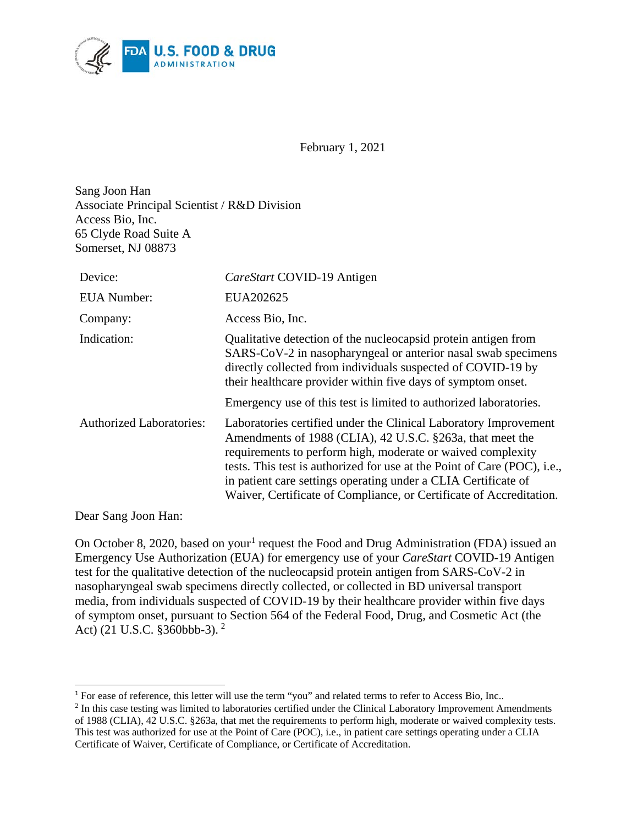

February 1, 2021

Sang Joon Han Associate Principal Scientist / R&D Division Access Bio, Inc. 65 Clyde Road Suite A Somerset, NJ 08873

| Device:                         | CareStart COVID-19 Antigen                                                                                                                                                                                                                                                                                                                                                                                                |
|---------------------------------|---------------------------------------------------------------------------------------------------------------------------------------------------------------------------------------------------------------------------------------------------------------------------------------------------------------------------------------------------------------------------------------------------------------------------|
| <b>EUA</b> Number:              | EUA202625                                                                                                                                                                                                                                                                                                                                                                                                                 |
| Company:                        | Access Bio, Inc.                                                                                                                                                                                                                                                                                                                                                                                                          |
| Indication:                     | Qualitative detection of the nucleocapsid protein antigen from<br>SARS-CoV-2 in nasopharyngeal or anterior nasal swab specimens<br>directly collected from individuals suspected of COVID-19 by<br>their healthcare provider within five days of symptom onset.                                                                                                                                                           |
|                                 | Emergency use of this test is limited to authorized laboratories.                                                                                                                                                                                                                                                                                                                                                         |
| <b>Authorized Laboratories:</b> | Laboratories certified under the Clinical Laboratory Improvement<br>Amendments of 1988 (CLIA), 42 U.S.C. §263a, that meet the<br>requirements to perform high, moderate or waived complexity<br>tests. This test is authorized for use at the Point of Care (POC), <i>i.e.</i> ,<br>in patient care settings operating under a CLIA Certificate of<br>Waiver, Certificate of Compliance, or Certificate of Accreditation. |

Dear Sang Joon Han:

 $\overline{a}$ 

On October 8, 2020, based on your<sup>[1](#page-0-0)</sup> request the Food and Drug Administration (FDA) issued an Emergency Use Authorization (EUA) for emergency use of your *CareStart* COVID-19 Antigen test for the qualitative detection of the nucleocapsid protein antigen from SARS-CoV-2 in nasopharyngeal swab specimens directly collected, or collected in BD universal transport media, from individuals suspected of COVID-19 by their healthcare provider within five days of symptom onset, pursuant to Section 564 of the Federal Food, Drug, and Cosmetic Act (the Act) (21 U.S.C. §360bbb-3). [2](#page-0-1)

<span id="page-0-0"></span><sup>&</sup>lt;sup>1</sup> For ease of reference, this letter will use the term "you" and related terms to refer to Access Bio, Inc..

<span id="page-0-1"></span><sup>&</sup>lt;sup>2</sup> In this case testing was limited to laboratories certified under the Clinical Laboratory Improvement Amendments of 1988 (CLIA), 42 U.S.C. §263a, that met the requirements to perform high, moderate or waived complexity tests. This test was authorized for use at the Point of Care (POC), i.e., in patient care settings operating under a CLIA Certificate of Waiver, Certificate of Compliance, or Certificate of Accreditation.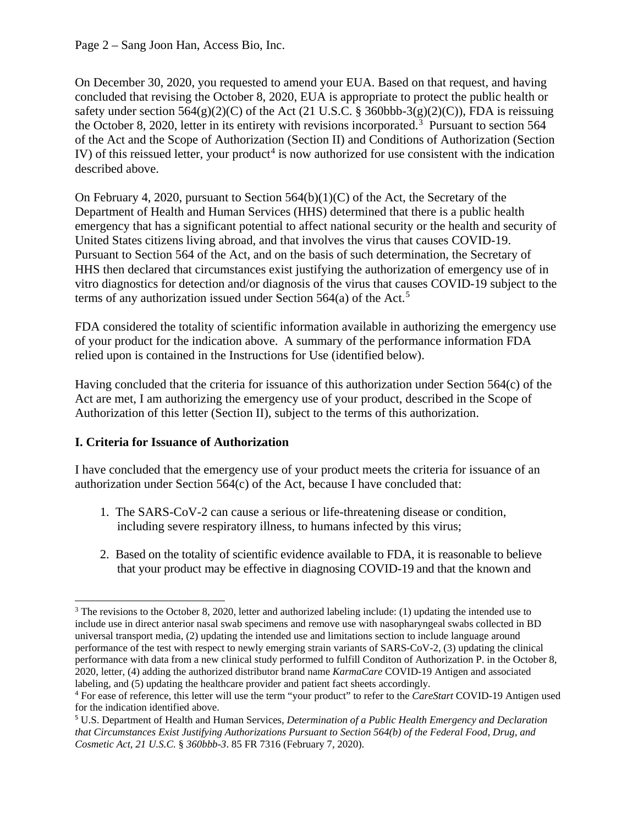Page 2 – Sang Joon Han, Access Bio, Inc.

On December 30, 2020, you requested to amend your EUA. Based on that request, and having concluded that revising the October 8, 2020, EUA is appropriate to protect the public health or safety under section  $564(g)(2)(C)$  of the Act (21 U.S.C. § 360bbb-3(g)(2)(C)), FDA is reissuing the October 8, 2020, letter in its entirety with revisions incorporated. [3](#page-1-0) Pursuant to section 564 of the Act and the Scope of Authorization (Section II) and Conditions of Authorization (Section IV) of this reissued letter, your product<sup>[4](#page-1-1)</sup> is now authorized for use consistent with the indication described above.

On February 4, 2020, pursuant to Section  $564(b)(1)(C)$  of the Act, the Secretary of the Department of Health and Human Services (HHS) determined that there is a public health emergency that has a significant potential to affect national security or the health and security of United States citizens living abroad, and that involves the virus that causes COVID-19. Pursuant to Section 564 of the Act, and on the basis of such determination, the Secretary of HHS then declared that circumstances exist justifying the authorization of emergency use of in vitro diagnostics for detection and/or diagnosis of the virus that causes COVID-19 subject to the terms of any authorization issued under Section 564(a) of the Act. [5](#page-1-2)

FDA considered the totality of scientific information available in authorizing the emergency use of your product for the indication above. A summary of the performance information FDA relied upon is contained in the Instructions for Use (identified below).

Having concluded that the criteria for issuance of this authorization under Section 564(c) of the Act are met, I am authorizing the emergency use of your product, described in the Scope of Authorization of this letter (Section II), subject to the terms of this authorization.

### **I. Criteria for Issuance of Authorization**

I have concluded that the emergency use of your product meets the criteria for issuance of an authorization under Section 564(c) of the Act, because I have concluded that:

- 1. The SARS-CoV-2 can cause a serious or life-threatening disease or condition, including severe respiratory illness, to humans infected by this virus;
- 2. Based on the totality of scientific evidence available to FDA, it is reasonable to believe that your product may be effective in diagnosing COVID-19 and that the known and

<span id="page-1-0"></span><sup>&</sup>lt;sup>3</sup> The revisions to the October 8, 2020, letter and authorized labeling include: (1) updating the intended use to include use in direct anterior nasal swab specimens and remove use with nasopharyngeal swabs collected in BD universal transport media, (2) updating the intended use and limitations section to include language around performance of the test with respect to newly emerging strain variants of SARS-CoV-2, (3) updating the clinical performance with data from a new clinical study performed to fulfill Conditon of Authorization P. in the October 8, 2020, letter, (4) adding the authorized distributor brand name *KarmaCare* COVID-19 Antigen and associated labeling, and (5) updating the healthcare provider and patient fact sheets accordingly.

<span id="page-1-1"></span><sup>4</sup> For ease of reference, this letter will use the term "your product" to refer to the *CareStart* COVID-19 Antigen used for the indication identified above.

<span id="page-1-2"></span><sup>5</sup> U.S. Department of Health and Human Services, *Determination of a Public Health Emergency and Declaration that Circumstances Exist Justifying Authorizations Pursuant to Section 564(b) of the Federal Food, Drug, and Cosmetic Act, 21 U.S.C.* § *360bbb-3*. 85 FR 7316 (February 7, 2020).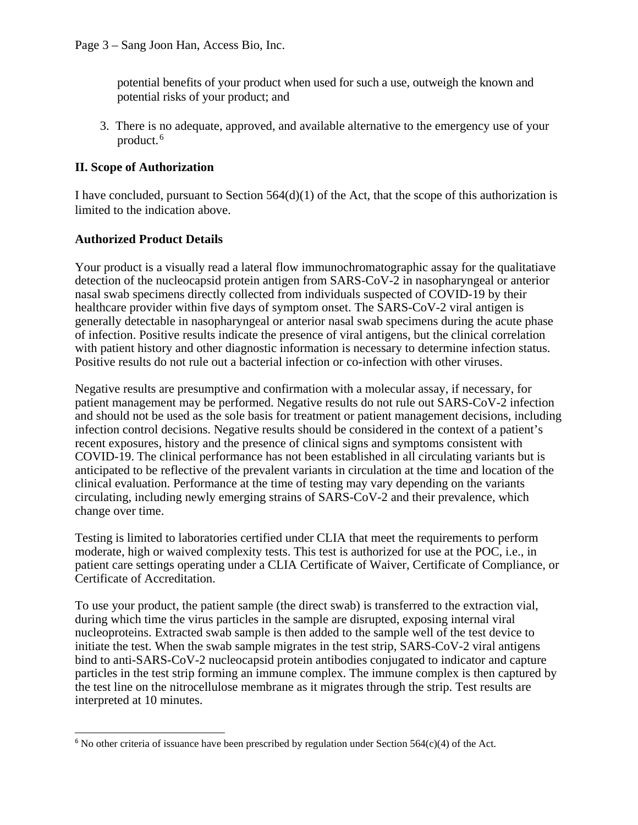potential benefits of your product when used for such a use, outweigh the known and potential risks of your product; and

3. There is no adequate, approved, and available alternative to the emergency use of your product. [6](#page-2-0)

### **II. Scope of Authorization**

I have concluded, pursuant to Section  $564(d)(1)$  of the Act, that the scope of this authorization is limited to the indication above.

### **Authorized Product Details**

Your product is a visually read a lateral flow immunochromatographic assay for the qualitatiave detection of the nucleocapsid protein antigen from SARS-CoV-2 in nasopharyngeal or anterior nasal swab specimens directly collected from individuals suspected of COVID-19 by their healthcare provider within five days of symptom onset. The SARS-CoV-2 viral antigen is generally detectable in nasopharyngeal or anterior nasal swab specimens during the acute phase of infection. Positive results indicate the presence of viral antigens, but the clinical correlation with patient history and other diagnostic information is necessary to determine infection status. Positive results do not rule out a bacterial infection or co-infection with other viruses.

Negative results are presumptive and confirmation with a molecular assay, if necessary, for patient management may be performed. Negative results do not rule out SARS-CoV-2 infection and should not be used as the sole basis for treatment or patient management decisions, including infection control decisions. Negative results should be considered in the context of a patient's recent exposures, history and the presence of clinical signs and symptoms consistent with COVID-19. The clinical performance has not been established in all circulating variants but is anticipated to be reflective of the prevalent variants in circulation at the time and location of the clinical evaluation. Performance at the time of testing may vary depending on the variants circulating, including newly emerging strains of SARS-CoV-2 and their prevalence, which change over time.

Testing is limited to laboratories certified under CLIA that meet the requirements to perform moderate, high or waived complexity tests. This test is authorized for use at the POC, i.e., in patient care settings operating under a CLIA Certificate of Waiver, Certificate of Compliance, or Certificate of Accreditation.

To use your product, the patient sample (the direct swab) is transferred to the extraction vial, during which time the virus particles in the sample are disrupted, exposing internal viral nucleoproteins. Extracted swab sample is then added to the sample well of the test device to initiate the test. When the swab sample migrates in the test strip, SARS-CoV-2 viral antigens bind to anti-SARS-CoV-2 nucleocapsid protein antibodies conjugated to indicator and capture particles in the test strip forming an immune complex. The immune complex is then captured by the test line on the nitrocellulose membrane as it migrates through the strip. Test results are interpreted at 10 minutes.

<span id="page-2-0"></span> $\overline{a}$  $6$  No other criteria of issuance have been prescribed by regulation under Section 564(c)(4) of the Act.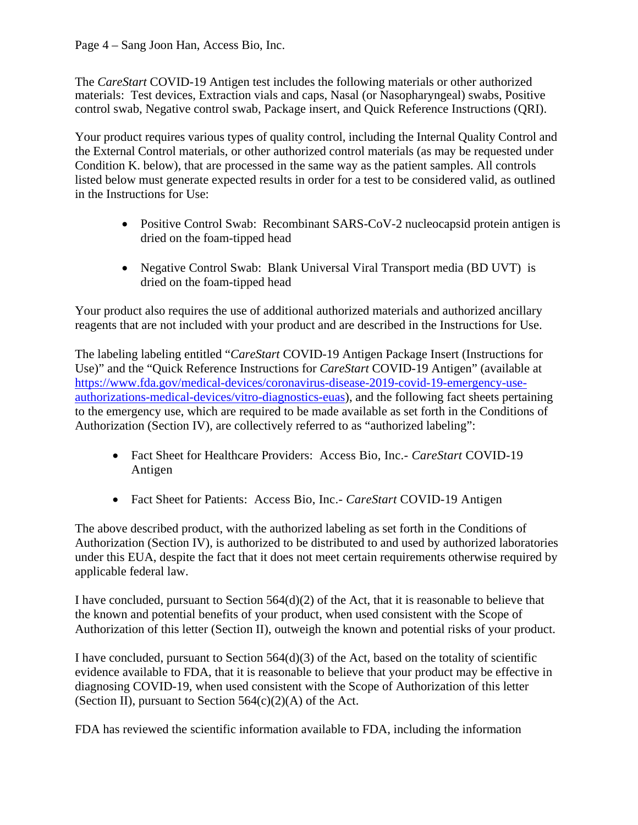Page 4 – Sang Joon Han, Access Bio, Inc.

The *CareStart* COVID-19 Antigen test includes the following materials or other authorized materials: Test devices, Extraction vials and caps, Nasal (or Nasopharyngeal) swabs, Positive control swab, Negative control swab, Package insert, and Quick Reference Instructions (QRI).

Your product requires various types of quality control, including the Internal Quality Control and the External Control materials, or other authorized control materials (as may be requested under Condition K. below), that are processed in the same way as the patient samples. All controls listed below must generate expected results in order for a test to be considered valid, as outlined in the Instructions for Use:

- Positive Control Swab: Recombinant SARS-CoV-2 nucleocapsid protein antigen is dried on the foam-tipped head
- Negative Control Swab: Blank Universal Viral Transport media (BD UVT) is dried on the foam-tipped head

Your product also requires the use of additional authorized materials and authorized ancillary reagents that are not included with your product and are described in the Instructions for Use.

The labeling labeling entitled "*CareStart* COVID-19 Antigen Package Insert (Instructions for Use)" and the "Quick Reference Instructions for *CareStart* COVID-19 Antigen" (available at [https://www.fda.gov/medical-devices/coronavirus-disease-2019-covid-19-emergency-use](https://www.fda.gov/medical-devices/coronavirus-disease-2019-covid-19-emergency-use-authorizations-medical-devices/vitro-diagnostics-euas)[authorizations-medical-devices/vitro-diagnostics-euas\)](https://www.fda.gov/medical-devices/coronavirus-disease-2019-covid-19-emergency-use-authorizations-medical-devices/vitro-diagnostics-euas), and the following fact sheets pertaining to the emergency use, which are required to be made available as set forth in the Conditions of Authorization (Section IV), are collectively referred to as "authorized labeling":

- Fact Sheet for Healthcare Providers: Access Bio, Inc.- *CareStart* COVID-19 Antigen
- Fact Sheet for Patients: Access Bio, Inc.- *CareStart* COVID-19 Antigen

The above described product, with the authorized labeling as set forth in the Conditions of Authorization (Section IV), is authorized to be distributed to and used by authorized laboratories under this EUA, despite the fact that it does not meet certain requirements otherwise required by applicable federal law.

I have concluded, pursuant to Section 564(d)(2) of the Act, that it is reasonable to believe that the known and potential benefits of your product, when used consistent with the Scope of Authorization of this letter (Section II), outweigh the known and potential risks of your product.

I have concluded, pursuant to Section 564(d)(3) of the Act, based on the totality of scientific evidence available to FDA, that it is reasonable to believe that your product may be effective in diagnosing COVID-19, when used consistent with the Scope of Authorization of this letter (Section II), pursuant to Section  $564(c)(2)(A)$  of the Act.

FDA has reviewed the scientific information available to FDA, including the information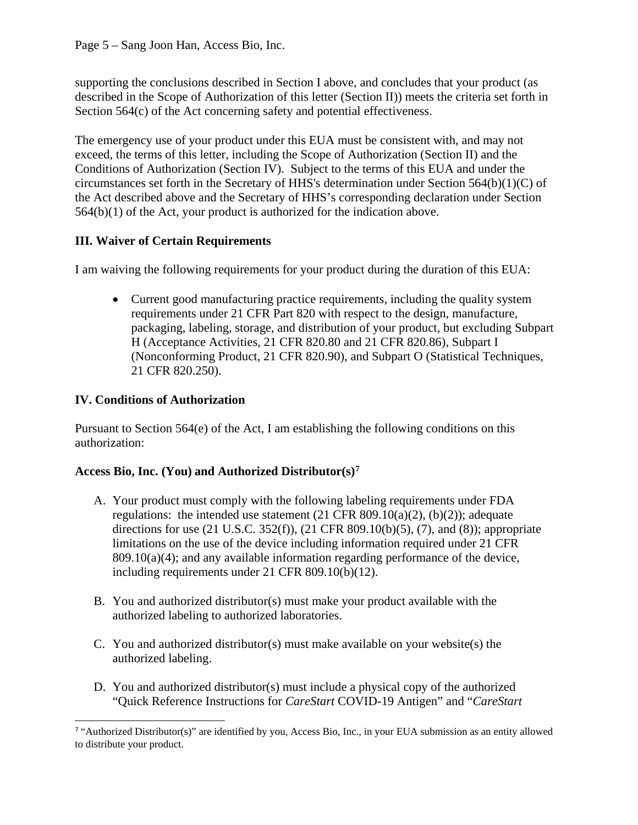Page 5 – Sang Joon Han, Access Bio, Inc.

supporting the conclusions described in Section I above, and concludes that your product (as described in the Scope of Authorization of this letter (Section II)) meets the criteria set forth in Section 564(c) of the Act concerning safety and potential effectiveness.

The emergency use of your product under this EUA must be consistent with, and may not exceed, the terms of this letter, including the Scope of Authorization (Section II) and the Conditions of Authorization (Section IV). Subject to the terms of this EUA and under the circumstances set forth in the Secretary of HHS's determination under Section 564(b)(1)(C) of the Act described above and the Secretary of HHS's corresponding declaration under Section 564(b)(1) of the Act, your product is authorized for the indication above.

# **III. Waiver of Certain Requirements**

I am waiving the following requirements for your product during the duration of this EUA:

• Current good manufacturing practice requirements, including the quality system requirements under 21 CFR Part 820 with respect to the design, manufacture, packaging, labeling, storage, and distribution of your product, but excluding Subpart H (Acceptance Activities, 21 CFR 820.80 and 21 CFR 820.86), Subpart I (Nonconforming Product, 21 CFR 820.90), and Subpart O (Statistical Techniques, 21 CFR 820.250).

# **IV. Conditions of Authorization**

Pursuant to Section 564(e) of the Act, I am establishing the following conditions on this authorization:

### **Access Bio, Inc. (You) and Authorized Distributor(s)[7](#page-4-0)**

- A. Your product must comply with the following labeling requirements under FDA regulations: the intended use statement  $(21 \text{ CFR } 809.10(a)(2), (b)(2))$ ; adequate directions for use (21 U.S.C. 352(f)), (21 CFR 809.10(b)(5), (7), and (8)); appropriate limitations on the use of the device including information required under 21 CFR  $809.10(a)(4)$ ; and any available information regarding performance of the device, including requirements under 21 CFR 809.10(b)(12).
- B. You and authorized distributor(s) must make your product available with the authorized labeling to authorized laboratories.
- C. You and authorized distributor(s) must make available on your website(s) the authorized labeling.
- D. You and authorized distributor(s) must include a physical copy of the authorized "Quick Reference Instructions for *CareStart* COVID-19 Antigen" and "*CareStart*

<span id="page-4-0"></span> $\overline{a}$ <sup>7</sup> "Authorized Distributor(s)" are identified by you, Access Bio, Inc., in your EUA submission as an entity allowed to distribute your product.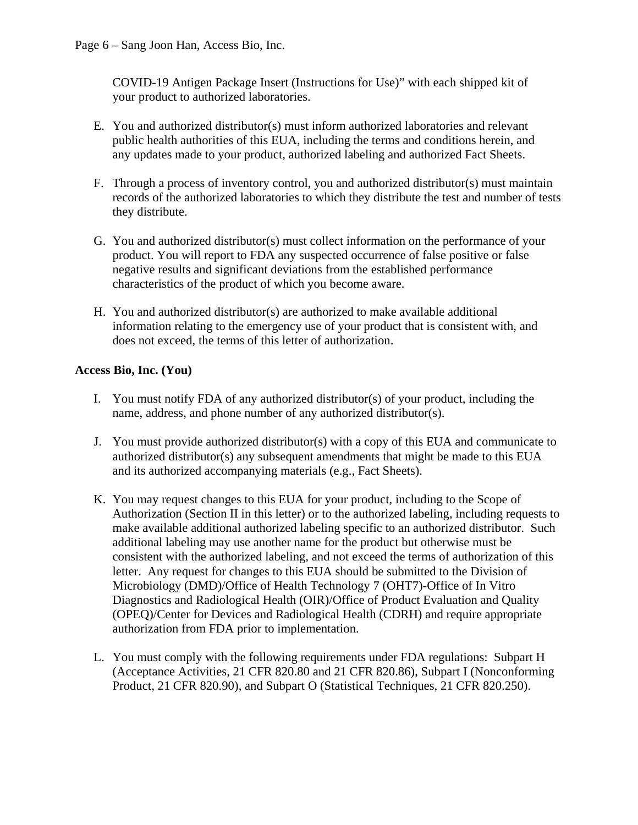COVID-19 Antigen Package Insert (Instructions for Use)" with each shipped kit of your product to authorized laboratories.

- E. You and authorized distributor(s) must inform authorized laboratories and relevant public health authorities of this EUA, including the terms and conditions herein, and any updates made to your product, authorized labeling and authorized Fact Sheets.
- F. Through a process of inventory control, you and authorized distributor(s) must maintain records of the authorized laboratories to which they distribute the test and number of tests they distribute.
- G. You and authorized distributor(s) must collect information on the performance of your product. You will report to FDA any suspected occurrence of false positive or false negative results and significant deviations from the established performance characteristics of the product of which you become aware.
- H. You and authorized distributor(s) are authorized to make available additional information relating to the emergency use of your product that is consistent with, and does not exceed, the terms of this letter of authorization.

# **Access Bio, Inc. (You)**

- I. You must notify FDA of any authorized distributor(s) of your product, including the name, address, and phone number of any authorized distributor(s).
- J. You must provide authorized distributor(s) with a copy of this EUA and communicate to authorized distributor(s) any subsequent amendments that might be made to this EUA and its authorized accompanying materials (e.g., Fact Sheets).
- K. You may request changes to this EUA for your product, including to the Scope of Authorization (Section II in this letter) or to the authorized labeling, including requests to make available additional authorized labeling specific to an authorized distributor. Such additional labeling may use another name for the product but otherwise must be consistent with the authorized labeling, and not exceed the terms of authorization of this letter. Any request for changes to this EUA should be submitted to the Division of Microbiology (DMD)/Office of Health Technology 7 (OHT7)-Office of In Vitro Diagnostics and Radiological Health (OIR)/Office of Product Evaluation and Quality (OPEQ)/Center for Devices and Radiological Health (CDRH) and require appropriate authorization from FDA prior to implementation.
- L. You must comply with the following requirements under FDA regulations: Subpart H (Acceptance Activities, 21 CFR 820.80 and 21 CFR 820.86), Subpart I (Nonconforming Product, 21 CFR 820.90), and Subpart O (Statistical Techniques, 21 CFR 820.250).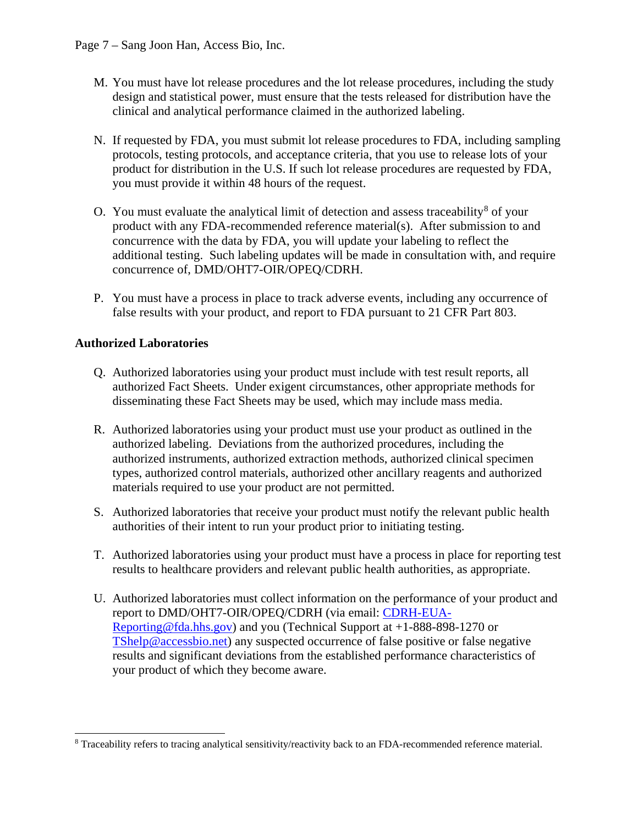- M. You must have lot release procedures and the lot release procedures, including the study design and statistical power, must ensure that the tests released for distribution have the clinical and analytical performance claimed in the authorized labeling.
- N. If requested by FDA, you must submit lot release procedures to FDA, including sampling protocols, testing protocols, and acceptance criteria, that you use to release lots of your product for distribution in the U.S. If such lot release procedures are requested by FDA, you must provide it within 48 hours of the request.
- O. You must evaluate the analytical limit of detection and assess traceability<sup>[8](#page-6-0)</sup> of your product with any FDA-recommended reference material(s). After submission to and concurrence with the data by FDA, you will update your labeling to reflect the additional testing. Such labeling updates will be made in consultation with, and require concurrence of, DMD/OHT7-OIR/OPEQ/CDRH.
- P. You must have a process in place to track adverse events, including any occurrence of false results with your product, and report to FDA pursuant to 21 CFR Part 803.

### **Authorized Laboratories**

- Q. Authorized laboratories using your product must include with test result reports, all authorized Fact Sheets. Under exigent circumstances, other appropriate methods for disseminating these Fact Sheets may be used, which may include mass media.
- R. Authorized laboratories using your product must use your product as outlined in the authorized labeling. Deviations from the authorized procedures, including the authorized instruments, authorized extraction methods, authorized clinical specimen types, authorized control materials, authorized other ancillary reagents and authorized materials required to use your product are not permitted.
- S. Authorized laboratories that receive your product must notify the relevant public health authorities of their intent to run your product prior to initiating testing.
- T. Authorized laboratories using your product must have a process in place for reporting test results to healthcare providers and relevant public health authorities, as appropriate.
- U. Authorized laboratories must collect information on the performance of your product and report to DMD/OHT7-OIR/OPEQ/CDRH (via email: [CDRH-EUA-](mailto:CDRH-EUA-Reporting@fda.hhs.gov)[Reporting@fda.hhs.gov\)](mailto:CDRH-EUA-Reporting@fda.hhs.gov) and you (Technical Support at +1-888-898-1270 or [TShelp@accessbio.net\)](mailto:TShelp@accessbio.net) any suspected occurrence of false positive or false negative results and significant deviations from the established performance characteristics of your product of which they become aware.

<span id="page-6-0"></span> <sup>8</sup> Traceability refers to tracing analytical sensitivity/reactivity back to an FDA-recommended reference material.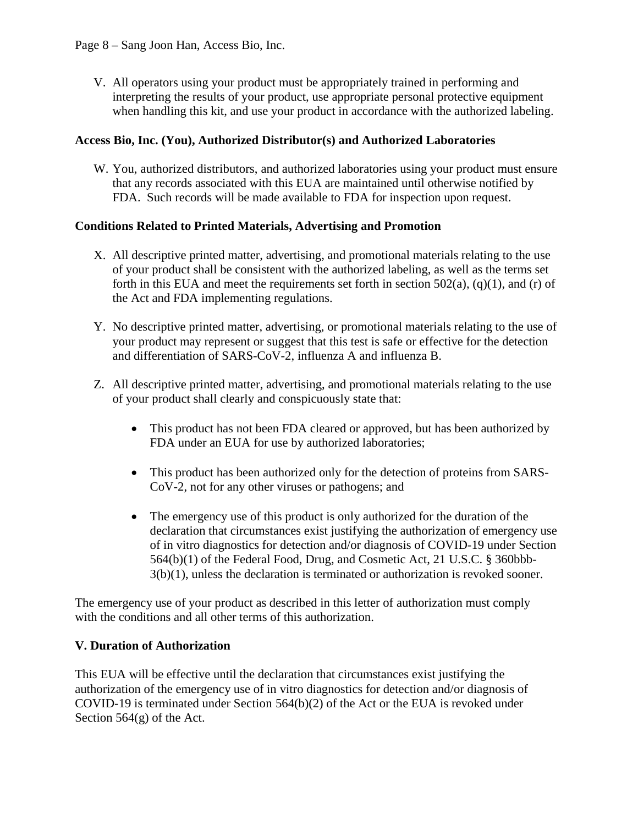Page 8 – Sang Joon Han, Access Bio, Inc.

V. All operators using your product must be appropriately trained in performing and interpreting the results of your product, use appropriate personal protective equipment when handling this kit, and use your product in accordance with the authorized labeling.

#### **Access Bio, Inc. (You), Authorized Distributor(s) and Authorized Laboratories**

W. You, authorized distributors, and authorized laboratories using your product must ensure that any records associated with this EUA are maintained until otherwise notified by FDA. Such records will be made available to FDA for inspection upon request.

#### **Conditions Related to Printed Materials, Advertising and Promotion**

- X. All descriptive printed matter, advertising, and promotional materials relating to the use of your product shall be consistent with the authorized labeling, as well as the terms set forth in this EUA and meet the requirements set forth in section  $502(a)$ ,  $(q)(1)$ , and  $(r)$  of the Act and FDA implementing regulations.
- Y. No descriptive printed matter, advertising, or promotional materials relating to the use of your product may represent or suggest that this test is safe or effective for the detection and differentiation of SARS-CoV-2, influenza A and influenza B.
- Z. All descriptive printed matter, advertising, and promotional materials relating to the use of your product shall clearly and conspicuously state that:
	- This product has not been FDA cleared or approved, but has been authorized by FDA under an EUA for use by authorized laboratories;
	- This product has been authorized only for the detection of proteins from SARS-CoV-2, not for any other viruses or pathogens; and
	- The emergency use of this product is only authorized for the duration of the declaration that circumstances exist justifying the authorization of emergency use of in vitro diagnostics for detection and/or diagnosis of COVID-19 under Section 564(b)(1) of the Federal Food, Drug, and Cosmetic Act, 21 U.S.C. § 360bbb- $3(b)(1)$ , unless the declaration is terminated or authorization is revoked sooner.

The emergency use of your product as described in this letter of authorization must comply with the conditions and all other terms of this authorization.

### **V. Duration of Authorization**

This EUA will be effective until the declaration that circumstances exist justifying the authorization of the emergency use of in vitro diagnostics for detection and/or diagnosis of COVID-19 is terminated under Section 564(b)(2) of the Act or the EUA is revoked under Section 564(g) of the Act.